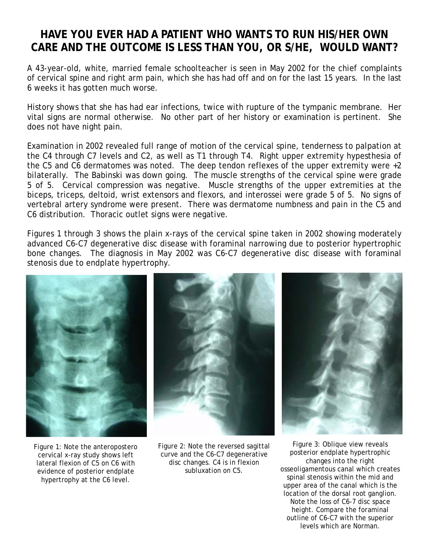## **HAVE YOU EVER HAD A PATIENT WHO WANTS TO RUN HIS/HER OWN CARE AND THE OUTCOME IS LESS THAN YOU, OR S/HE, WOULD WANT?**

A 43-year-old, white, married female schoolteacher is seen in May 2002 for the chief complaints of cervical spine and right arm pain, which she has had off and on for the last 15 years. In the last 6 weeks it has gotten much worse.

History shows that she has had ear infections, twice with rupture of the tympanic membrane. Her vital signs are normal otherwise. No other part of her history or examination is pertinent. She does not have night pain.

Examination in 2002 revealed full range of motion of the cervical spine, tenderness to palpation at the C4 through C7 levels and C2, as well as T1 through T4. Right upper extremity hypesthesia of the C5 and C6 dermatomes was noted. The deep tendon reflexes of the upper extremity were +2 bilaterally. The Babinski was down going. The muscle strengths of the cervical spine were grade 5 of 5. Cervical compression was negative. Muscle strengths of the upper extremities at the biceps, triceps, deltoid, wrist extensors and flexors, and interossei were grade 5 of 5. No signs of vertebral artery syndrome were present. There was dermatome numbness and pain in the C5 and C6 distribution. Thoracic outlet signs were negative.

Figures 1 through 3 shows the plain x-rays of the cervical spine taken in 2002 showing moderately advanced C6-C7 degenerative disc disease with foraminal narrowing due to posterior hypertrophic bone changes. The diagnosis in May 2002 was C6-C7 degenerative disc disease with foraminal stenosis due to endplate hypertrophy.



Figure 1: Note the anteropostero cervical x-ray study shows left lateral flexion of C5 on C6 with evidence of posterior endplate hypertrophy at the C6 level.



Figure 2: Note the reversed sagittal curve and the C6-C7 degenerative disc changes. C4 is in flexion subluxation on C5.



Figure 3: Oblique view reveals posterior endplate hypertrophic changes into the right osseoligamentous canal which creates spinal stenosis within the mid and upper area of the canal which is the location of the dorsal root ganglion. Note the loss of C6-7 disc space height. Compare the foraminal outline of C6-C7 with the superior levels which are Norman.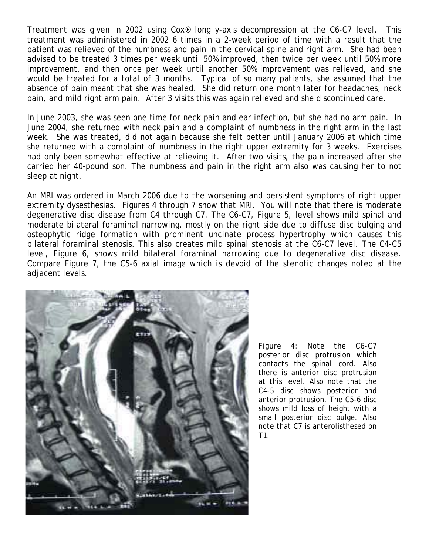Treatment was given in 2002 using Cox® long y-axis decompression at the C6-C7 level. This treatment was administered in 2002 6 times in a 2-week period of time with a result that the patient was relieved of the numbness and pain in the cervical spine and right arm. She had been advised to be treated 3 times per week until 50% improved, then twice per week until 50% more improvement, and then once per week until another 50% improvement was relieved, and she would be treated for a total of 3 months. Typical of so many patients, she assumed that the absence of pain meant that she was healed. She did return one month later for headaches, neck pain, and mild right arm pain. After 3 visits this was again relieved and she discontinued care.

In June 2003, she was seen one time for neck pain and ear infection, but she had no arm pain. In June 2004, she returned with neck pain and a complaint of numbness in the right arm in the last week. She was treated, did not again because she felt better until January 2006 at which time she returned with a complaint of numbness in the right upper extremity for 3 weeks. Exercises had only been somewhat effective at relieving it. After two visits, the pain increased after she carried her 40-pound son. The numbness and pain in the right arm also was causing her to not sleep at night.

An MRI was ordered in March 2006 due to the worsening and persistent symptoms of right upper extremity dysesthesias. Figures 4 through 7 show that MRI. You will note that there is moderate degenerative disc disease from C4 through C7. The C6-C7, Figure 5, level shows mild spinal and moderate bilateral foraminal narrowing, mostly on the right side due to diffuse disc bulging and osteophytic ridge formation with prominent uncinate process hypertrophy which causes this bilateral foraminal stenosis. This also creates mild spinal stenosis at the C6-C7 level. The C4-C5 level, Figure 6, shows mild bilateral foraminal narrowing due to degenerative disc disease. Compare Figure 7, the C5-6 axial image which is devoid of the stenotic changes noted at the adjacent levels.



Figure 4: Note the C6-C7 posterior disc protrusion which contacts the spinal cord. Also there is anterior disc protrusion at this level. Also note that the C4-5 disc shows posterior and anterior protrusion. The C5-6 disc shows mild loss of height with a small posterior disc bulge. Also note that C7 is anterolisthesed on T1.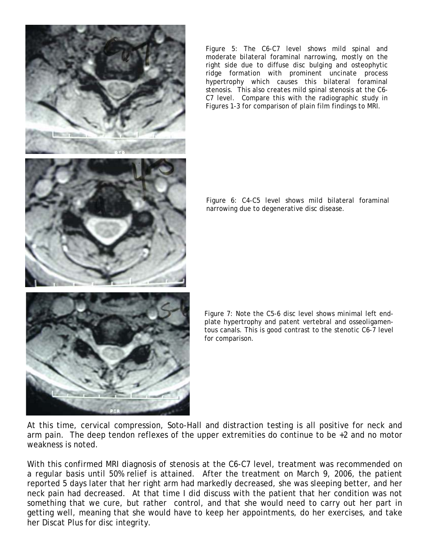

Figure 5: The C6-C7 level shows mild spinal and moderate bilateral foraminal narrowing, mostly on the right side due to diffuse disc bulging and osteophytic ridge formation with prominent uncinate process hypertrophy which causes this bilateral foraminal stenosis. This also creates mild spinal stenosis at the C6- C7 level. Compare this with the radiographic study in Figures 1-3 for comparison of plain film findings to MRI.

Figure 6: C4-C5 level shows mild bilateral foraminal narrowing due to degenerative disc disease.

Figure 7: Note the C5-6 disc level shows minimal left endplate hypertrophy and patent vertebral and osseoligamentous canals. This is good contrast to the stenotic C6-7 level for comparison.

At this time, cervical compression, Soto-Hall and distraction testing is all positive for neck and arm pain. The deep tendon reflexes of the upper extremities do continue to be +2 and no motor weakness is noted.

With this confirmed MRI diagnosis of stenosis at the C6-C7 level, treatment was recommended on a regular basis until 50% relief is attained. After the treatment on March 9, 2006, the patient reported 5 days later that her right arm had markedly decreased, she was sleeping better, and her neck pain had decreased. At that time I did discuss with the patient that her condition was not something that we cure, but rather control, and that she would need to carry out her part in getting well, meaning that she would have to keep her appointments, do her exercises, and take her Discat Plus for disc integrity.